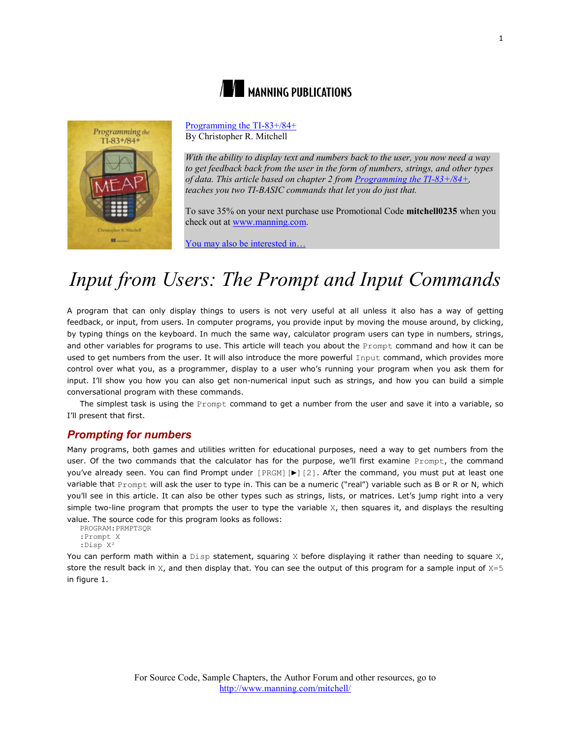



[Programming the TI-83+/84+](http://www.manning.com/mitchell/) By Christopher R. Mitchell

*With the ability to display text and numbers back to the user, you now need a way to get feedback back from the user in the form of numbers, strings, and other types of data. This article based on chapter 2 from [Programming the TI-83+/84+,](http://www.manning.com/mitchell/)  teaches you two TI-BASIC commands that let you do just that.*

To save 35% on your next purchase use Promotional Code **mitchell0235** when you check out a[t www.manning.com.](file://localhost/Users/blaisebace/Downloads/www.manning.com)

[You may also be interested in…](#page-8-0)

# *Input from Users: The Prompt and Input Commands*

A program that can only display things to users is not very useful at all unless it also has a way of getting feedback, or input, from users. In computer programs, you provide input by moving the mouse around, by clicking, by typing things on the keyboard. In much the same way, calculator program users can type in numbers, strings, and other variables for programs to use. This article will teach you about the Prompt command and how it can be used to get numbers from the user. It will also introduce the more powerful Input command, which provides more control over what you, as a programmer, display to a user who's running your program when you ask them for input. I'll show you how you can also get non-numerical input such as strings, and how you can build a simple conversational program with these commands.

The simplest task is using the Prompt command to get a number from the user and save it into a variable, so I'll present that first.

## *Prompting for numbers*

Many programs, both games and utilities written for educational purposes, need a way to get numbers from the user. Of the two commands that the calculator has for the purpose, we'll first examine Prompt, the command you've already seen. You can find Prompt under [PRGM] [ $\blacktriangleright$ ] [2]. After the command, you must put at least one variable that Prompt will ask the user to type in. This can be a numeric ("real") variable such as B or R or N, which you'll see in this article. It can also be other types such as strings, lists, or matrices. Let's jump right into a very simple two-line program that prompts the user to type the variable  $X$ , then squares it, and displays the resulting value. The source code for this program looks as follows:

PROGRAM:PRMPTSQR :Prompt X :Disp X²

You can perform math within a  $Disp$  statement, squaring X before displaying it rather than needing to square X, store the result back in  $X$ , and then display that. You can see the output of this program for a sample input of  $X=5$ in figure 1.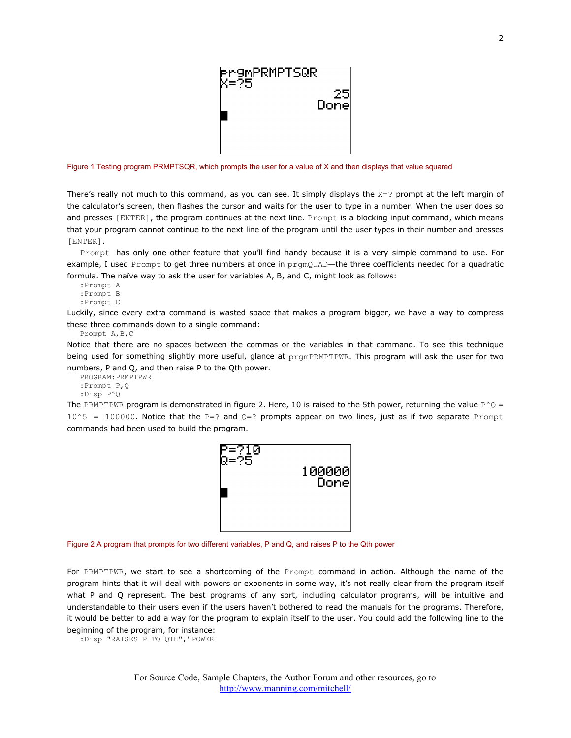

Figure 1 Testing program PRMPTSQR, which prompts the user for a value of X and then displays that value squared

There's really not much to this command, as you can see. It simply displays the  $X=$ ? prompt at the left margin of the calculator's screen, then flashes the cursor and waits for the user to type in a number. When the user does so and presses [ENTER], the program continues at the next line. Prompt is a blocking input command, which means that your program cannot continue to the next line of the program until the user types in their number and presses [ENTER].

Prompt has only one other feature that you'll find handy because it is a very simple command to use. For example, I used Prompt to get three numbers at once in prgmQUAD—the three coefficients needed for a quadratic formula. The naïve way to ask the user for variables A, B, and C, might look as follows:

:Prompt A :Prompt B :Prompt C

Luckily, since every extra command is wasted space that makes a program bigger, we have a way to compress these three commands down to a single command:

Prompt A,B,C

Notice that there are no spaces between the commas or the variables in that command. To see this technique being used for something slightly more useful, glance at prgmPRMPTPWR. This program will ask the user for two numbers, P and Q, and then raise P to the Qth power.

PROGRAM:PRMPTPWR :Prompt P,Q :Disp P^Q

The PRMPTPWR program is demonstrated in figure 2. Here, 10 is raised to the 5th power, returning the value  $P^2Q =$  $10^5$  = 100000. Notice that the P=? and Q=? prompts appear on two lines, just as if two separate Prompt commands had been used to build the program.



Figure 2 A program that prompts for two different variables, P and Q, and raises P to the Qth power

For PRMPTPWR, we start to see a shortcoming of the Prompt command in action. Although the name of the program hints that it will deal with powers or exponents in some way, it's not really clear from the program itself what P and Q represent. The best programs of any sort, including calculator programs, will be intuitive and understandable to their users even if the users haven't bothered to read the manuals for the programs. Therefore, it would be better to add a way for the program to explain itself to the user. You could add the following line to the beginning of the program, for instance:

:Disp "RAISES P TO QTH","POWER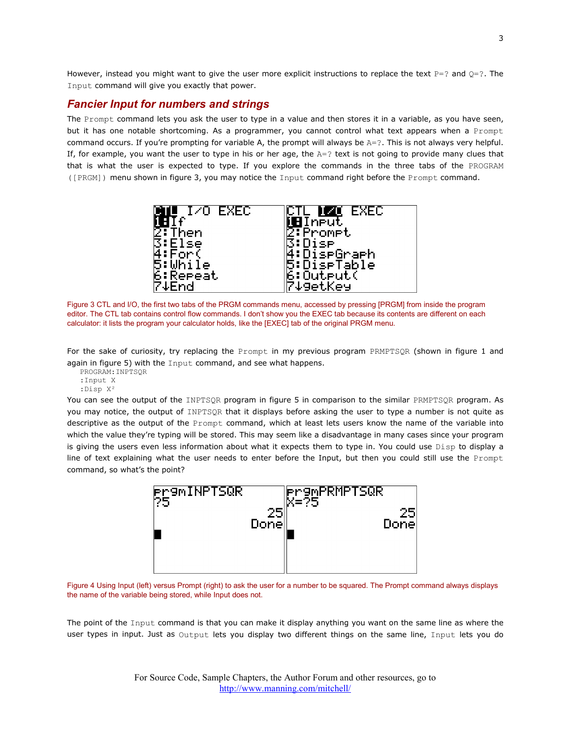However, instead you might want to give the user more explicit instructions to replace the text  $P=?$  and  $Q=?$ . The Input command will give you exactly that power.

## *Fancier Input for numbers and strings*

The Prompt command lets you ask the user to type in a value and then stores it in a variable, as you have seen, but it has one notable shortcoming. As a programmer, you cannot control what text appears when a Prompt command occurs. If you're prompting for variable A, the prompt will always be  $A = ?$ . This is not always very helpful. If, for example, you want the user to type in his or her age, the  $A=2$  text is not going to provide many clues that that is what the user is expected to type. If you explore the commands in the three tabs of the PROGRAM ([PRGM]) menu shown in figure 3, you may notice the Input command right before the Prompt command.



Figure 3 CTL and I/O, the first two tabs of the PRGM commands menu, accessed by pressing [PRGM] from inside the program editor. The CTL tab contains control flow commands. I don't show you the EXEC tab because its contents are different on each calculator: it lists the program your calculator holds, like the [EXEC] tab of the original PRGM menu.

For the sake of curiosity, try replacing the Prompt in my previous program PRMPTSQR (shown in figure 1 and again in figure 5) with the Input command, and see what happens.

PROGRAM:INPTSQR :Input X :Disp X²

You can see the output of the INPTSQR program in figure 5 in comparison to the similar PRMPTSQR program. As you may notice, the output of INPTSQR that it displays before asking the user to type a number is not quite as descriptive as the output of the Prompt command, which at least lets users know the name of the variable into which the value they're typing will be stored. This may seem like a disadvantage in many cases since your program is giving the users even less information about what it expects them to type in. You could use Disp to display a line of text explaining what the user needs to enter before the Input, but then you could still use the Prompt command, so what's the point?



Figure 4 Using Input (left) versus Prompt (right) to ask the user for a number to be squared. The Prompt command always displays the name of the variable being stored, while Input does not.

The point of the Input command is that you can make it display anything you want on the same line as where the user types in input. Just as Output lets you display two different things on the same line, Input lets you do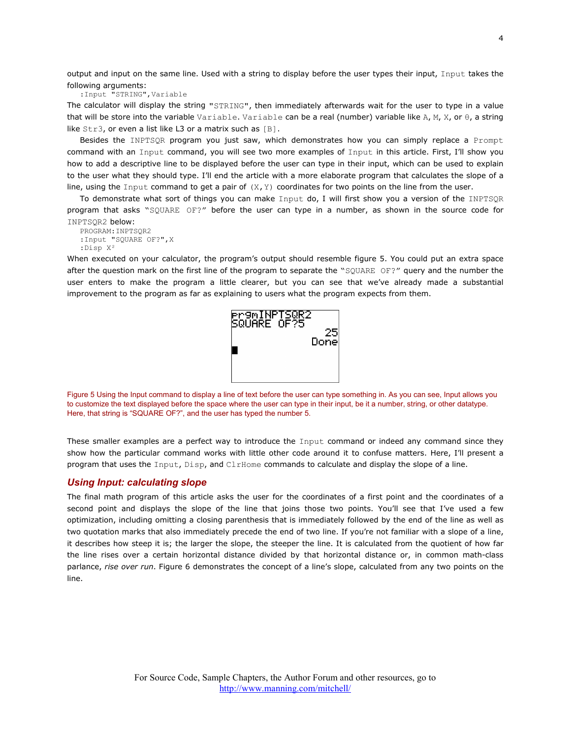output and input on the same line. Used with a string to display before the user types their input, Input takes the following arguments:

:Input "STRING",Variable

The calculator will display the string "STRING", then immediately afterwards wait for the user to type in a value that will be store into the variable Variable. Variable can be a real (number) variable like A, M, X, or  $\theta$ , a string like Str3, or even a list like L3 or a matrix such as [B].

Besides the INPTSQR program you just saw, which demonstrates how you can simply replace a Prompt command with an Input command, you will see two more examples of Input in this article. First, I'll show you how to add a descriptive line to be displayed before the user can type in their input, which can be used to explain to the user what they should type. I'll end the article with a more elaborate program that calculates the slope of a line, using the Input command to get a pair of  $(X, Y)$  coordinates for two points on the line from the user.

To demonstrate what sort of things you can make Input do, I will first show you a version of the INPTSQR program that asks "SQUARE OF?" before the user can type in a number, as shown in the source code for INPTSQR2 below:

```
PROGRAM:INPTSQR2
:Input "SQUARE OF?",X
:Disp X²
```
When executed on your calculator, the program's output should resemble figure 5. You could put an extra space after the question mark on the first line of the program to separate the "SQUARE OF?" query and the number the user enters to make the program a little clearer, but you can see that we've already made a substantial improvement to the program as far as explaining to users what the program expects from them.



Figure 5 Using the Input command to display a line of text before the user can type something in. As you can see, Input allows you to customize the text displayed before the space where the user can type in their input, be it a number, string, or other datatype. Here, that string is "SQUARE OF?", and the user has typed the number 5.

These smaller examples are a perfect way to introduce the Input command or indeed any command since they show how the particular command works with little other code around it to confuse matters. Here, I'll present a program that uses the Input, Disp, and ClrHome commands to calculate and display the slope of a line.

#### *Using Input: calculating slope*

The final math program of this article asks the user for the coordinates of a first point and the coordinates of a second point and displays the slope of the line that joins those two points. You'll see that I've used a few optimization, including omitting a closing parenthesis that is immediately followed by the end of the line as well as two quotation marks that also immediately precede the end of two line. If you're not familiar with a slope of a line, it describes how steep it is; the larger the slope, the steeper the line. It is calculated from the quotient of how far the line rises over a certain horizontal distance divided by that horizontal distance or, in common math-class parlance, *rise over run*. Figure 6 demonstrates the concept of a line's slope, calculated from any two points on the line.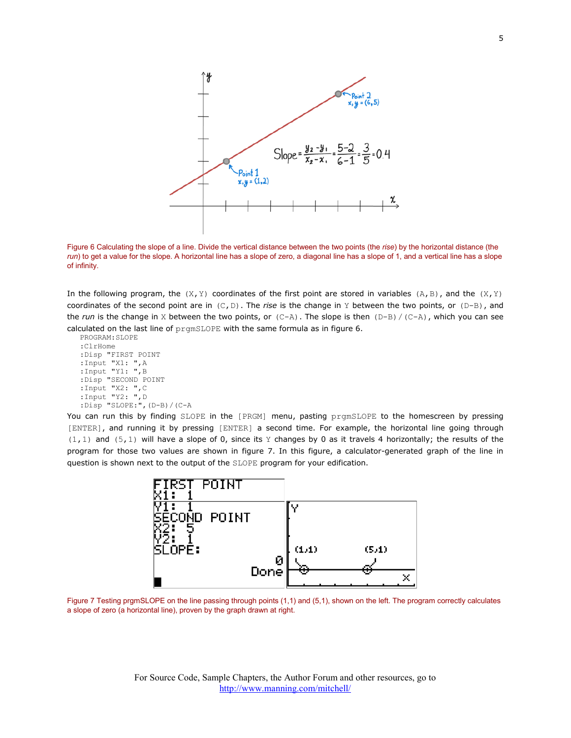

Figure 6 Calculating the slope of a line. Divide the vertical distance between the two points (the *rise*) by the horizontal distance (the *run*) to get a value for the slope. A horizontal line has a slope of zero, a diagonal line has a slope of 1, and a vertical line has a slope of infinity.

In the following program, the  $(X, Y)$  coordinates of the first point are stored in variables  $(A, B)$ , and the  $(X, Y)$ coordinates of the second point are in (C,D). The *rise* is the change in Y between the two points, or (D-B), and the *run* is the change in X between the two points, or  $(C-A)$ . The slope is then  $(D-B)/(C-A)$ , which you can see calculated on the last line of prgmSLOPE with the same formula as in figure 6.

```
PROGRAM:SLOPE
:ClrHome
:Disp "FIRST POINT
:Input "X1: ",A
:Input "Y1: ",B
:Disp "SECOND POINT
:Input "X2: ",C
:Input "Y2: ",D
:Disp "SLOPE:",(D-B)/(C-A
```
You can run this by finding SLOPE in the [PRGM] menu, pasting prgmSLOPE to the homescreen by pressing [ENTER], and running it by pressing [ENTER] a second time. For example, the horizontal line going through  $(1,1)$  and  $(5,1)$  will have a slope of 0, since its Y changes by 0 as it travels 4 horizontally; the results of the program for those two values are shown in figure 7. In this figure, a calculator-generated graph of the line in question is shown next to the output of the SLOPE program for your edification.



Figure 7 Testing prgmSLOPE on the line passing through points (1,1) and (5,1), shown on the left. The program correctly calculates a slope of zero (a horizontal line), proven by the graph drawn at right.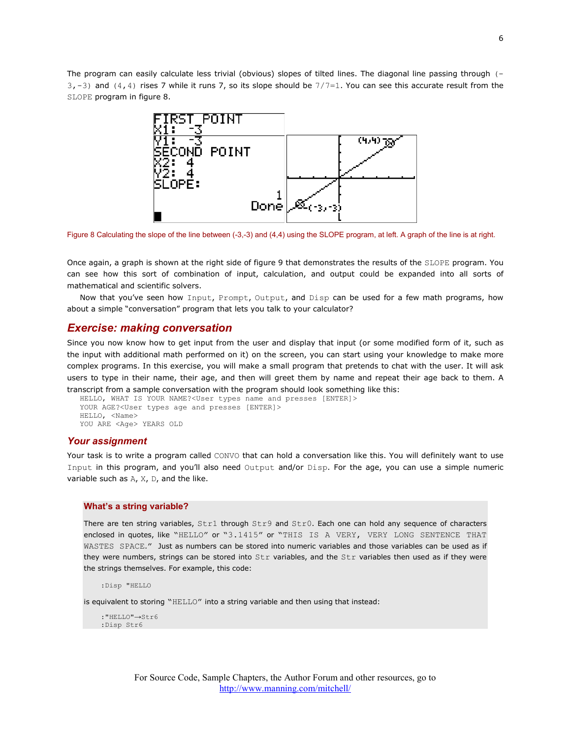The program can easily calculate less trivial (obvious) slopes of tilted lines. The diagonal line passing through (- $3, -3$ ) and  $(4, 4)$  rises 7 while it runs 7, so its slope should be  $7/7=1$ . You can see this accurate result from the SLOPE program in figure 8.



Figure 8 Calculating the slope of the line between (-3,-3) and (4,4) using the SLOPE program, at left. A graph of the line is at right.

Once again, a graph is shown at the right side of figure 9 that demonstrates the results of the SLOPE program. You can see how this sort of combination of input, calculation, and output could be expanded into all sorts of mathematical and scientific solvers.

Now that you've seen how Input, Prompt, Output, and Disp can be used for a few math programs, how about a simple "conversation" program that lets you talk to your calculator?

#### *Exercise: making conversation*

Since you now know how to get input from the user and display that input (or some modified form of it, such as the input with additional math performed on it) on the screen, you can start using your knowledge to make more complex programs. In this exercise, you will make a small program that pretends to chat with the user. It will ask users to type in their name, their age, and then will greet them by name and repeat their age back to them. A transcript from a sample conversation with the program should look something like this:

```
HELLO, WHAT IS YOUR NAME?<User types name and presses [ENTER]>
YOUR AGE?<User types age and presses [ENTER]>
HELLO, <Name>
YOU ARE <Age> YEARS OLD
```
#### *Your assignment*

Your task is to write a program called CONVO that can hold a conversation like this. You will definitely want to use Input in this program, and you'll also need Output and/or Disp. For the age, you can use a simple numeric variable such as A, X, D, and the like.

#### **What's a string variable?**

There are ten string variables, Str1 through Str9 and Str0. Each one can hold any sequence of characters enclosed in quotes, like "HELLO" or "3.1415" or "THIS IS A VERY, VERY LONG SENTENCE THAT WASTES SPACE." Just as numbers can be stored into numeric variables and those variables can be used as if they were numbers, strings can be stored into Str variables, and the Str variables then used as if they were the strings themselves. For example, this code:

:Disp "HELLO

is equivalent to storing "HELLO" into a string variable and then using that instead:

```
: "HELLO" \rightarrowStr6
:Disp Str6
```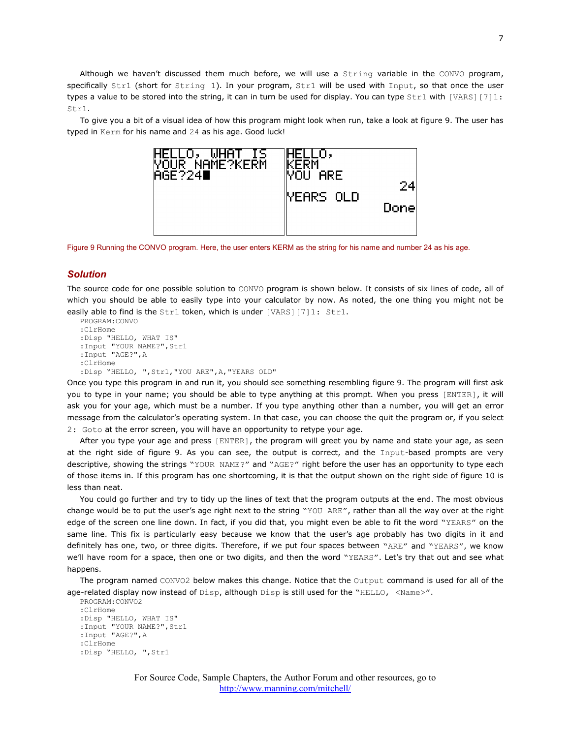Although we haven't discussed them much before, we will use a String variable in the CONVO program, specifically Str1 (short for String 1). In your program, Str1 will be used with Input, so that once the user types a value to be stored into the string, it can in turn be used for display. You can type  $Str1$  with [VARS][7]1: Str1.

To give you a bit of a visual idea of how this program might look when run, take a look at figure 9. The user has typed in Kerm for his name and 24 as his age. Good luck!



Figure 9 Running the CONVO program. Here, the user enters KERM as the string for his name and number 24 as his age.

#### *Solution*

The source code for one possible solution to CONVO program is shown below. It consists of six lines of code, all of which you should be able to easily type into your calculator by now. As noted, the one thing you might not be easily able to find is the Str1 token, which is under [VARS][7]1: Str1.

```
PROGRAM:CONVO
:ClrHome
:Disp "HELLO, WHAT IS"
:Input "YOUR NAME?",Str1
:Input "AGE?",A
:ClrHome
:Disp "HELLO, ",Str1,"YOU ARE",A,"YEARS OLD"
```
Once you type this program in and run it, you should see something resembling figure 9. The program will first ask you to type in your name; you should be able to type anything at this prompt. When you press [ENTER], it will ask you for your age, which must be a number. If you type anything other than a number, you will get an error message from the calculator's operating system. In that case, you can choose the quit the program or, if you select 2: Goto at the error screen, you will have an opportunity to retype your age.

After you type your age and press [ENTER], the program will greet you by name and state your age, as seen at the right side of figure 9. As you can see, the output is correct, and the Input-based prompts are very descriptive, showing the strings "YOUR NAME?" and "AGE?" right before the user has an opportunity to type each of those items in. If this program has one shortcoming, it is that the output shown on the right side of figure 10 is less than neat.

You could go further and try to tidy up the lines of text that the program outputs at the end. The most obvious change would be to put the user's age right next to the string "YOU ARE", rather than all the way over at the right edge of the screen one line down. In fact, if you did that, you might even be able to fit the word "YEARS" on the same line. This fix is particularly easy because we know that the user's age probably has two digits in it and definitely has one, two, or three digits. Therefore, if we put four spaces between "ARE" and "YEARS", we know we'll have room for a space, then one or two digits, and then the word "YEARS". Let's try that out and see what happens.

The program named CONVO2 below makes this change. Notice that the Output command is used for all of the age-related display now instead of Disp, although Disp is still used for the "HELLO, <Name>".

```
PROGRAM:CONVO2
:ClrHome
:Disp "HELLO, WHAT IS"
:Input "YOUR NAME?",Str1
:Input "AGE?",A
:ClrHome
:Disp "HELLO, ",Str1
```
For Source Code, Sample Chapters, the Author Forum and other resources, go to <http://www.manning.com/mitchell/>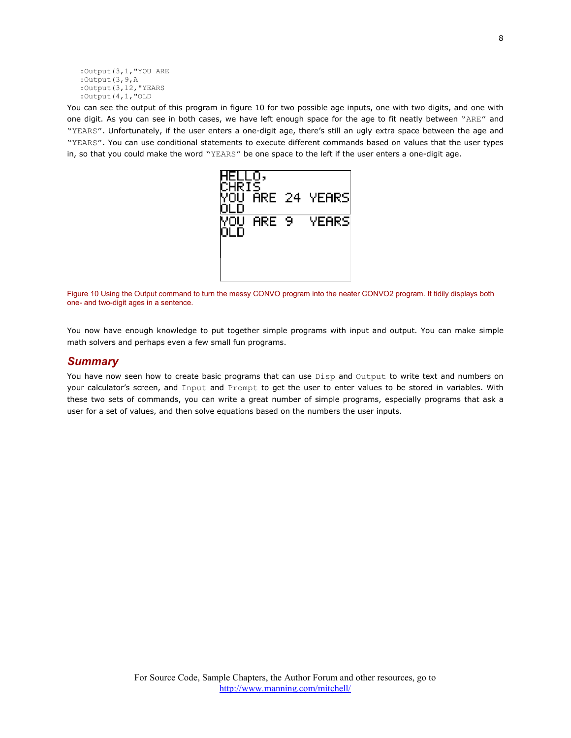```
:Output(3,1,"YOU ARE
:Output(3,9,A
:Output(3,12,"YEARS
:Output(4,1,"OLD
```
You can see the output of this program in figure 10 for two possible age inputs, one with two digits, and one with one digit. As you can see in both cases, we have left enough space for the age to fit neatly between "ARE" and "YEARS". Unfortunately, if the user enters a one-digit age, there's still an ugly extra space between the age and "YEARS". You can use conditional statements to execute different commands based on values that the user types in, so that you could make the word "YEARS" be one space to the left if the user enters a one-digit age.



Figure 10 Using the Output command to turn the messy CONVO program into the neater CONVO2 program. It tidily displays both one- and two-digit ages in a sentence.

You now have enough knowledge to put together simple programs with input and output. You can make simple math solvers and perhaps even a few small fun programs.

## *Summary*

You have now seen how to create basic programs that can use Disp and Output to write text and numbers on your calculator's screen, and Input and Prompt to get the user to enter values to be stored in variables. With these two sets of commands, you can write a great number of simple programs, especially programs that ask a user for a set of values, and then solve equations based on the numbers the user inputs.